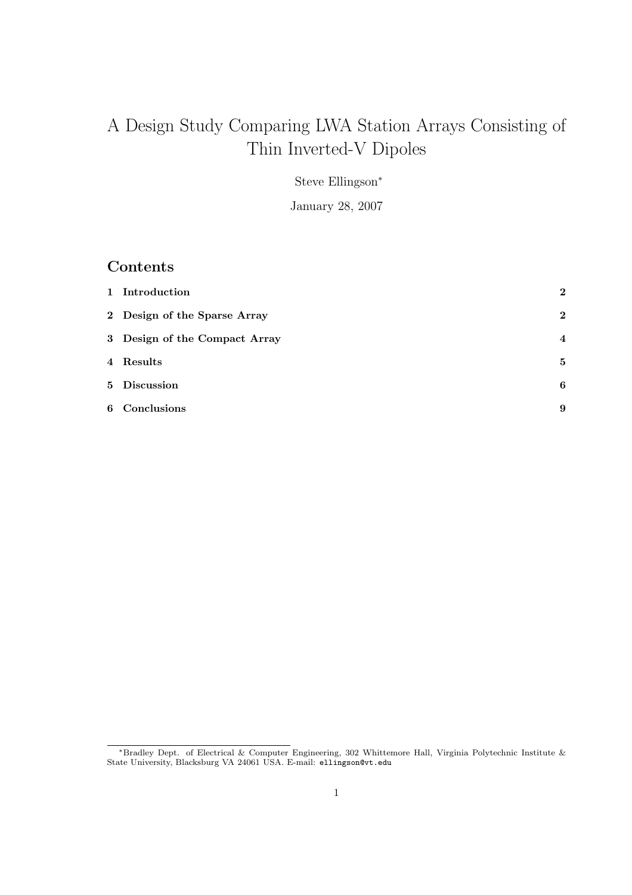# A Design Study Comparing LWA Station Arrays Consisting of Thin Inverted-V Dipoles

Steve Ellingson<sup>∗</sup>

January 28, 2007

## Contents

| 1 Introduction                | $\overline{2}$   |
|-------------------------------|------------------|
| 2 Design of the Sparse Array  | $\mathbf{2}$     |
| 3 Design of the Compact Array | $\boldsymbol{4}$ |
| 4 Results                     | 5                |
| 5 Discussion                  | 6                |
| 6 Conclusions                 | 9                |

<sup>∗</sup>Bradley Dept. of Electrical & Computer Engineering, 302 Whittemore Hall, Virginia Polytechnic Institute & State University, Blacksburg VA 24061 USA. E-mail: ellingson@vt.edu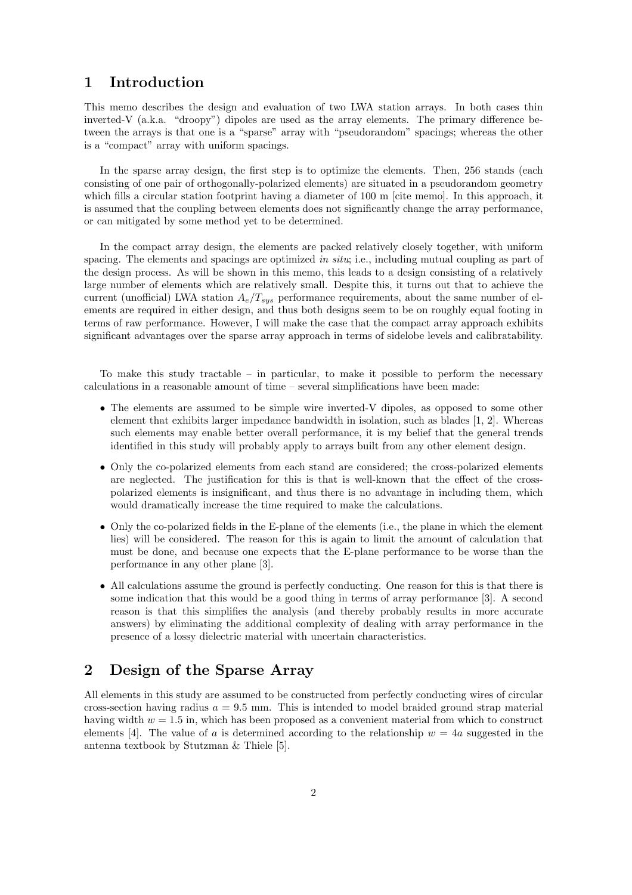#### 1 Introduction

This memo describes the design and evaluation of two LWA station arrays. In both cases thin inverted-V (a.k.a. "droopy") dipoles are used as the array elements. The primary difference between the arrays is that one is a "sparse" array with "pseudorandom" spacings; whereas the other is a "compact" array with uniform spacings.

In the sparse array design, the first step is to optimize the elements. Then, 256 stands (each consisting of one pair of orthogonally-polarized elements) are situated in a pseudorandom geometry which fills a circular station footprint having a diameter of 100 m [cite memo]. In this approach, it is assumed that the coupling between elements does not significantly change the array performance, or can mitigated by some method yet to be determined.

In the compact array design, the elements are packed relatively closely together, with uniform spacing. The elements and spacings are optimized in situ; i.e., including mutual coupling as part of the design process. As will be shown in this memo, this leads to a design consisting of a relatively large number of elements which are relatively small. Despite this, it turns out that to achieve the current (unofficial) LWA station  $A_e/T_{sys}$  performance requirements, about the same number of elements are required in either design, and thus both designs seem to be on roughly equal footing in terms of raw performance. However, I will make the case that the compact array approach exhibits significant advantages over the sparse array approach in terms of sidelobe levels and calibratability.

To make this study tractable – in particular, to make it possible to perform the necessary calculations in a reasonable amount of time – several simplifications have been made:

- The elements are assumed to be simple wire inverted-V dipoles, as opposed to some other element that exhibits larger impedance bandwidth in isolation, such as blades [1, 2]. Whereas such elements may enable better overall performance, it is my belief that the general trends identified in this study will probably apply to arrays built from any other element design.
- Only the co-polarized elements from each stand are considered; the cross-polarized elements are neglected. The justification for this is that is well-known that the effect of the crosspolarized elements is insignificant, and thus there is no advantage in including them, which would dramatically increase the time required to make the calculations.
- Only the co-polarized fields in the E-plane of the elements (i.e., the plane in which the element lies) will be considered. The reason for this is again to limit the amount of calculation that must be done, and because one expects that the E-plane performance to be worse than the performance in any other plane [3].
- All calculations assume the ground is perfectly conducting. One reason for this is that there is some indication that this would be a good thing in terms of array performance [3]. A second reason is that this simplifies the analysis (and thereby probably results in more accurate answers) by eliminating the additional complexity of dealing with array performance in the presence of a lossy dielectric material with uncertain characteristics.

### 2 Design of the Sparse Array

All elements in this study are assumed to be constructed from perfectly conducting wires of circular cross-section having radius  $a = 9.5$  mm. This is intended to model braided ground strap material having width  $w = 1.5$  in, which has been proposed as a convenient material from which to construct elements [4]. The value of a is determined according to the relationship  $w = 4a$  suggested in the antenna textbook by Stutzman & Thiele [5].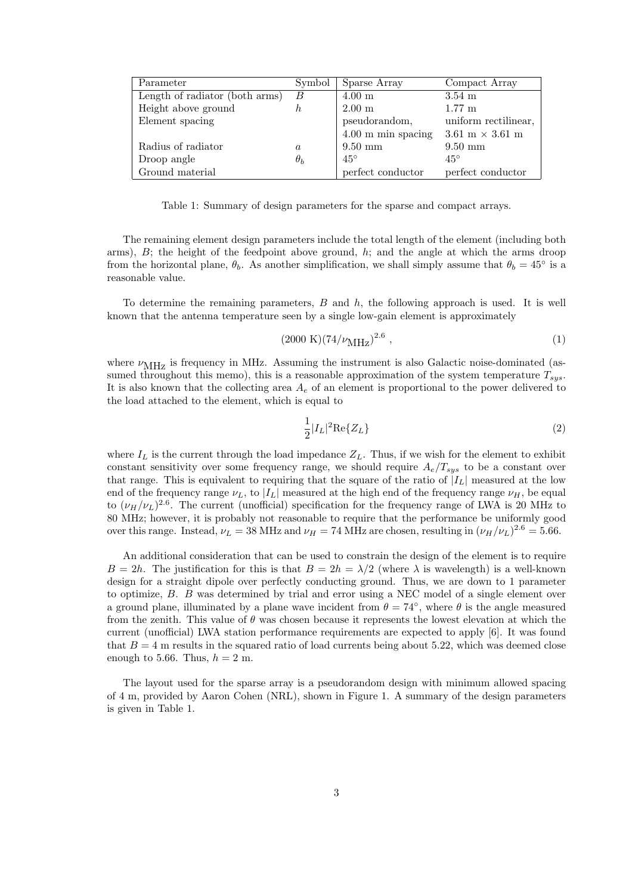| Parameter                      | Symbol           | Sparse Array                 | Compact Array                          |
|--------------------------------|------------------|------------------------------|----------------------------------------|
| Length of radiator (both arms) | B                | $4.00 \text{ m}$             | $3.54 \text{ m}$                       |
| Height above ground            | h                | $2.00 \text{ m}$             | $1.77 \text{ m}$                       |
| Element spacing                |                  | pseudorandom,                | uniform rectilinear,                   |
|                                |                  | $4.00 \text{ m}$ min spacing | $3.61 \text{ m} \times 3.61 \text{ m}$ |
| Radius of radiator             | $\boldsymbol{a}$ | $9.50 \text{ mm}$            | $9.50 \text{ mm}$                      |
| Droop angle                    | $\theta_b$       | $45^\circ$                   | $45^{\circ}$                           |
| Ground material                |                  | perfect conductor            | perfect conductor                      |

Table 1: Summary of design parameters for the sparse and compact arrays.

The remaining element design parameters include the total length of the element (including both arms),  $B$ ; the height of the feedpoint above ground,  $h$ ; and the angle at which the arms droop from the horizontal plane,  $\theta_b$ . As another simplification, we shall simply assume that  $\theta_b = 45^\circ$  is a reasonable value.

To determine the remaining parameters, B and h, the following approach is used. It is well known that the antenna temperature seen by a single low-gain element is approximately

$$
(2000 \text{ K})(74/\nu_{\text{MHz}})^{2.6} , \qquad (1)
$$

where  $\nu_{\text{MHz}}$  is frequency in MHz. Assuming the instrument is also Galactic noise-dominated (assumed throughout this memo), this is a reasonable approximation of the system temperature  $T_{sys}$ . It is also known that the collecting area  $A_e$  of an element is proportional to the power delivered to the load attached to the element, which is equal to

$$
\frac{1}{2}|I_L|^2 \text{Re}\{Z_L\} \tag{2}
$$

where  $I_L$  is the current through the load impedance  $Z_L$ . Thus, if we wish for the element to exhibit constant sensitivity over some frequency range, we should require  $A_e/T_{sys}$  to be a constant over that range. This is equivalent to requiring that the square of the ratio of  $|I_L|$  measured at the low end of the frequency range  $\nu_L$ , to  $|I_L|$  measured at the high end of the frequency range  $\nu_H$ , be equal to  $(\nu_H/\nu_L)^{2.6}$ . The current (unofficial) specification for the frequency range of LWA is 20 MHz to 80 MHz; however, it is probably not reasonable to require that the performance be uniformly good over this range. Instead,  $\nu_L = 38 \text{ MHz}$  and  $\nu_H = 74 \text{ MHz}$  are chosen, resulting in  $(\nu_H/\nu_L)^{2.6} = 5.66$ .

An additional consideration that can be used to constrain the design of the element is to require  $B = 2h$ . The justification for this is that  $B = 2h = \lambda/2$  (where  $\lambda$  is wavelength) is a well-known design for a straight dipole over perfectly conducting ground. Thus, we are down to 1 parameter to optimize, B. B was determined by trial and error using a NEC model of a single element over a ground plane, illuminated by a plane wave incident from  $\theta = 74^{\circ}$ , where  $\theta$  is the angle measured from the zenith. This value of  $\theta$  was chosen because it represents the lowest elevation at which the current (unofficial) LWA station performance requirements are expected to apply [6]. It was found that  $B = 4$  m results in the squared ratio of load currents being about 5.22, which was deemed close enough to 5.66. Thus,  $h = 2$  m.

The layout used for the sparse array is a pseudorandom design with minimum allowed spacing of 4 m, provided by Aaron Cohen (NRL), shown in Figure 1. A summary of the design parameters is given in Table 1.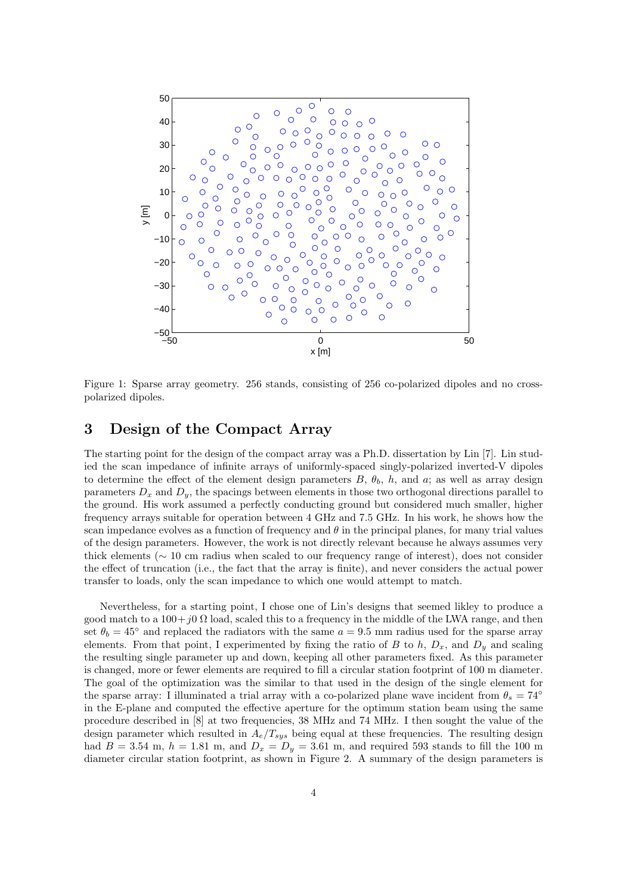

Figure 1: Sparse array geometry. 256 stands, consisting of 256 co-polarized dipoles and no crosspolarized dipoles.

#### 3 Design of the Compact Array

The starting point for the design of the compact array was a Ph.D. dissertation by Lin [7]. Lin studied the scan impedance of infinite arrays of uniformly-spaced singly-polarized inverted-V dipoles to determine the effect of the element design parameters  $B, \theta_b, h$ , and a; as well as array design parameters  $D_x$  and  $D_y$ , the spacings between elements in those two orthogonal directions parallel to the ground. His work assumed a perfectly conducting ground but considered much smaller, higher frequency arrays suitable for operation between 4 GHz and 7.5 GHz. In his work, he shows how the scan impedance evolves as a function of frequency and  $\theta$  in the principal planes, for many trial values of the design parameters. However, the work is not directly relevant because he always assumes very thick elements (∼ 10 cm radius when scaled to our frequency range of interest), does not consider the effect of truncation (i.e., the fact that the array is finite), and never considers the actual power transfer to loads, only the scan impedance to which one would attempt to match.

Nevertheless, for a starting point, I chose one of Lin's designs that seemed likley to produce a good match to a  $100+j0 \Omega$  load, scaled this to a frequency in the middle of the LWA range, and then set  $\theta_b = 45^\circ$  and replaced the radiators with the same  $a = 9.5$  mm radius used for the sparse array elements. From that point, I experimented by fixing the ratio of B to h,  $D_x$ , and  $D_y$  and scaling the resulting single parameter up and down, keeping all other parameters fixed. As this parameter is changed, more or fewer elements are required to fill a circular station footprint of 100 m diameter. The goal of the optimization was the similar to that used in the design of the single element for the sparse array: I illuminated a trial array with a co-polarized plane wave incident from  $\theta_s = 74^\circ$ in the E-plane and computed the effective aperture for the optimum station beam using the same procedure described in [8] at two frequencies, 38 MHz and 74 MHz. I then sought the value of the design parameter which resulted in  $A_e/T_{sys}$  being equal at these frequencies. The resulting design had  $B = 3.54$  m,  $h = 1.81$  m, and  $D_x = D_y = 3.61$  m, and required 593 stands to fill the 100 m diameter circular station footprint, as shown in Figure 2. A summary of the design parameters is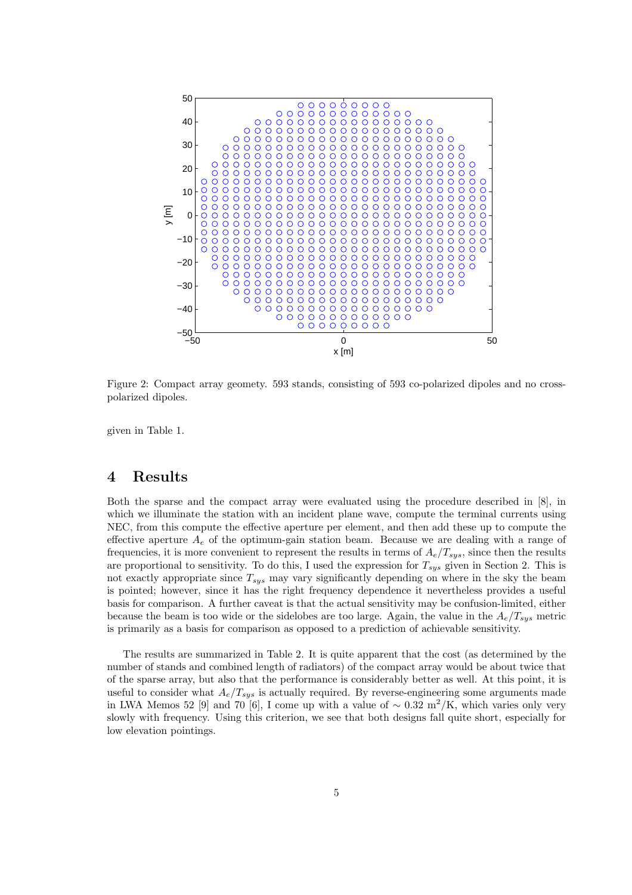

Figure 2: Compact array geomety. 593 stands, consisting of 593 co-polarized dipoles and no crosspolarized dipoles.

given in Table 1.

#### 4 Results

Both the sparse and the compact array were evaluated using the procedure described in [8], in which we illuminate the station with an incident plane wave, compute the terminal currents using NEC, from this compute the effective aperture per element, and then add these up to compute the effective aperture  $A_e$  of the optimum-gain station beam. Because we are dealing with a range of frequencies, it is more convenient to represent the results in terms of  $A_e/T_{sys}$ , since then the results are proportional to sensitivity. To do this, I used the expression for  $T_{sys}$  given in Section 2. This is not exactly appropriate since  $T_{sys}$  may vary significantly depending on where in the sky the beam is pointed; however, since it has the right frequency dependence it nevertheless provides a useful basis for comparison. A further caveat is that the actual sensitivity may be confusion-limited, either because the beam is too wide or the sidelobes are too large. Again, the value in the  $A_e/T_{sys}$  metric is primarily as a basis for comparison as opposed to a prediction of achievable sensitivity.

The results are summarized in Table 2. It is quite apparent that the cost (as determined by the number of stands and combined length of radiators) of the compact array would be about twice that of the sparse array, but also that the performance is considerably better as well. At this point, it is useful to consider what  $A_e/T_{sys}$  is actually required. By reverse-engineering some arguments made in LWA Memos 52 [9] and 70 [6], I come up with a value of  $\sim 0.32 \text{ m}^2/\text{K}$ , which varies only very slowly with frequency. Using this criterion, we see that both designs fall quite short, especially for low elevation pointings.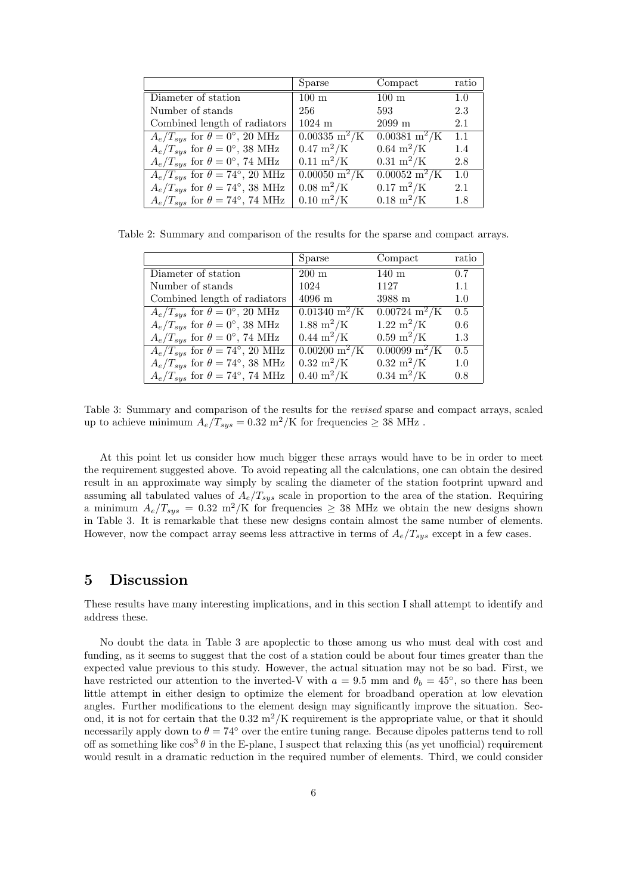|                                                  | Sparse                               | Compact                               | ratio |
|--------------------------------------------------|--------------------------------------|---------------------------------------|-------|
| Diameter of station                              | $100 \text{ m}$                      | $100~\mathrm{m}$                      | 1.0   |
| Number of stands                                 | 256                                  | 593                                   | 2.3   |
| Combined length of radiators                     | $1024$ m                             | $2099$ m                              | 2.1   |
| $A_e/T_{sus}$ for $\theta = 0^{\circ}$ , 20 MHz  | $0.00335 \text{ m}^2/\text{K}$       | $0.00381 \text{ m}^2/\text{K}$        | 1.1   |
| $A_e/T_{sys}$ for $\theta = 0^{\circ}$ , 38 MHz  | $0.47~{\rm m}^2/{\rm K}$             | $0.64 \; \mathrm{m}^2/\mathrm{K}$     | 1.4   |
| $A_e/T_{sys}$ for $\theta = 0^{\circ}$ , 74 MHz  | $0.11 \; \mathrm{m}^2/\mathrm{K}$    | $0.31 \; \mathrm{m}^2/\mathrm{K}$     | 2.8   |
| $A_e/T_{sus}$ for $\theta = 74^{\circ}$ , 20 MHz | $0.00050 \; \mathrm{m}^2/\mathrm{K}$ | $\sqrt{0.00052 \text{ m}^2/\text{K}}$ | 1.0   |
| $A_e/T_{sys}$ for $\theta = 74^{\circ}$ , 38 MHz | $0.08 \; \mathrm{m}^2/\mathrm{K}$    | $0.17 \;{\rm m^2/K}$                  | 2.1   |
| $A_e/T_{sys}$ for $\theta = 74^{\circ}$ , 74 MHz | $0.10 \;{\rm m^2/K}$                 | $0.18 \; \rm{m^2/K}$                  | 1.8   |

Table 2: Summary and comparison of the results for the sparse and compact arrays.

|                                                  | Sparse                               | Compact                           | ratio |
|--------------------------------------------------|--------------------------------------|-----------------------------------|-------|
| Diameter of station                              | $200 \text{ m}$                      | $140 \text{ m}$                   | 0.7   |
| Number of stands                                 | 1024                                 | 1127                              | 1.1   |
| Combined length of radiators                     | $4096 \text{ m}$                     | 3988 m                            | 1.0   |
| $A_e/T_{sus}$ for $\theta = 0^{\circ}$ , 20 MHz  | $0.01340 \text{ m}^2/\text{K}$       | $0.00724 \text{ m}^2/\text{K}$    | 0.5   |
| $A_e/T_{sus}$ for $\theta = 0^{\circ}$ , 38 MHz  | $1.88 \;{\rm m^2/K}$                 | $1.22 \;{\rm m^2/K}$              | 0.6   |
| $A_e/T_{sys}$ for $\theta = 0^{\circ}$ , 74 MHz  | $0.44 \; \mathrm{m}^2/\mathrm{K}$    | $0.59 \;{\rm m^2/K}$              | 1.3   |
| $A_e/T_{sys}$ for $\theta = 74^{\circ}, 20$ MHz  | $0.00200 \; \mathrm{m}^2/\mathrm{K}$ | $0.00099 \,\mathrm{m^2/K}$        | 0.5   |
| $A_e/T_{sys}$ for $\theta = 74^{\circ}$ , 38 MHz | $0.32 \; \rm{m^2/K}$                 | $0.32 \; \rm{m^2/K}$              | 1.0   |
| $A_e/T_{sus}$ for $\theta = 74^{\circ}$ , 74 MHz | $0.40 \;{\rm m^2/K}$                 | $0.34 \; \mathrm{m}^2/\mathrm{K}$ | 0.8   |

Table 3: Summary and comparison of the results for the revised sparse and compact arrays, scaled up to achieve minimum  $A_e/T_{sys} = 0.32 \text{ m}^2/\text{K}$  for frequencies  $\geq 38 \text{ MHz}$ .

At this point let us consider how much bigger these arrays would have to be in order to meet the requirement suggested above. To avoid repeating all the calculations, one can obtain the desired result in an approximate way simply by scaling the diameter of the station footprint upward and assuming all tabulated values of  $A_e/T_{sys}$  scale in proportion to the area of the station. Requiring a minimum  $A_e/T_{sys} = 0.32 \text{ m}^2/\text{K}$  for frequencies  $\geq 38 \text{ MHz}$  we obtain the new designs shown in Table 3. It is remarkable that these new designs contain almost the same number of elements. However, now the compact array seems less attractive in terms of  $A_e/T_{sys}$  except in a few cases.

#### 5 Discussion

These results have many interesting implications, and in this section I shall attempt to identify and address these.

No doubt the data in Table 3 are apoplectic to those among us who must deal with cost and funding, as it seems to suggest that the cost of a station could be about four times greater than the expected value previous to this study. However, the actual situation may not be so bad. First, we have restricted our attention to the inverted-V with  $a = 9.5$  mm and  $\theta_b = 45^{\circ}$ , so there has been little attempt in either design to optimize the element for broadband operation at low elevation angles. Further modifications to the element design may significantly improve the situation. Second, it is not for certain that the  $0.32 \text{ m}^2/\text{K}$  requirement is the appropriate value, or that it should necessarily apply down to  $\theta = 74^{\circ}$  over the entire tuning range. Because dipoles patterns tend to roll off as something like  $\cos^3 \theta$  in the E-plane, I suspect that relaxing this (as yet unofficial) requirement would result in a dramatic reduction in the required number of elements. Third, we could consider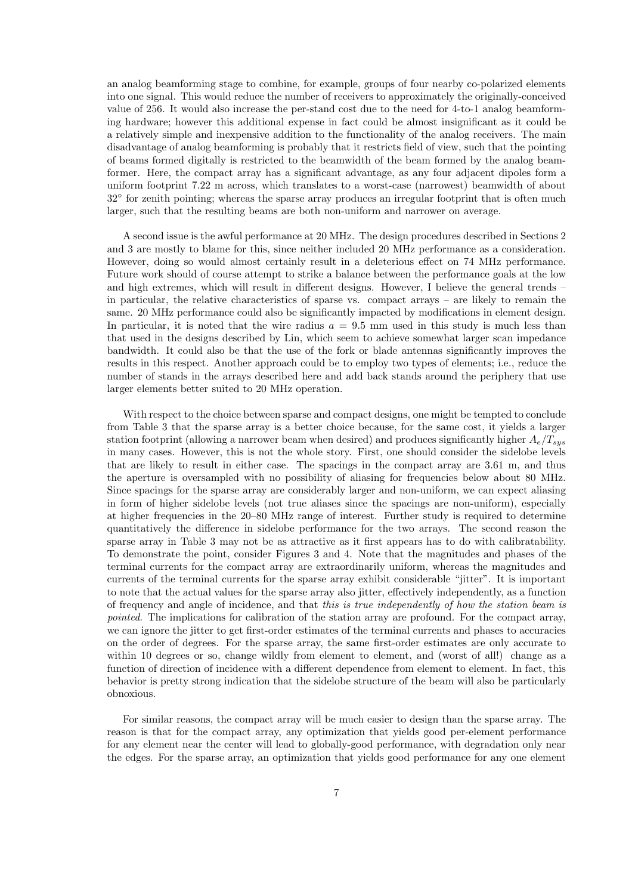an analog beamforming stage to combine, for example, groups of four nearby co-polarized elements into one signal. This would reduce the number of receivers to approximately the originally-conceived value of 256. It would also increase the per-stand cost due to the need for 4-to-1 analog beamforming hardware; however this additional expense in fact could be almost insignificant as it could be a relatively simple and inexpensive addition to the functionality of the analog receivers. The main disadvantage of analog beamforming is probably that it restricts field of view, such that the pointing of beams formed digitally is restricted to the beamwidth of the beam formed by the analog beamformer. Here, the compact array has a significant advantage, as any four adjacent dipoles form a uniform footprint 7.22 m across, which translates to a worst-case (narrowest) beamwidth of about 32◦ for zenith pointing; whereas the sparse array produces an irregular footprint that is often much larger, such that the resulting beams are both non-uniform and narrower on average.

A second issue is the awful performance at 20 MHz. The design procedures described in Sections 2 and 3 are mostly to blame for this, since neither included 20 MHz performance as a consideration. However, doing so would almost certainly result in a deleterious effect on 74 MHz performance. Future work should of course attempt to strike a balance between the performance goals at the low and high extremes, which will result in different designs. However, I believe the general trends – in particular, the relative characteristics of sparse vs. compact arrays – are likely to remain the same. 20 MHz performance could also be significantly impacted by modifications in element design. In particular, it is noted that the wire radius  $a = 9.5$  mm used in this study is much less than that used in the designs described by Lin, which seem to achieve somewhat larger scan impedance bandwidth. It could also be that the use of the fork or blade antennas significantly improves the results in this respect. Another approach could be to employ two types of elements; i.e., reduce the number of stands in the arrays described here and add back stands around the periphery that use larger elements better suited to 20 MHz operation.

With respect to the choice between sparse and compact designs, one might be tempted to conclude from Table 3 that the sparse array is a better choice because, for the same cost, it yields a larger station footprint (allowing a narrower beam when desired) and produces significantly higher  $A_e/T_{sus}$ in many cases. However, this is not the whole story. First, one should consider the sidelobe levels that are likely to result in either case. The spacings in the compact array are 3.61 m, and thus the aperture is oversampled with no possibility of aliasing for frequencies below about 80 MHz. Since spacings for the sparse array are considerably larger and non-uniform, we can expect aliasing in form of higher sidelobe levels (not true aliases since the spacings are non-uniform), especially at higher frequencies in the 20–80 MHz range of interest. Further study is required to determine quantitatively the difference in sidelobe performance for the two arrays. The second reason the sparse array in Table 3 may not be as attractive as it first appears has to do with calibratability. To demonstrate the point, consider Figures 3 and 4. Note that the magnitudes and phases of the terminal currents for the compact array are extraordinarily uniform, whereas the magnitudes and currents of the terminal currents for the sparse array exhibit considerable "jitter". It is important to note that the actual values for the sparse array also jitter, effectively independently, as a function of frequency and angle of incidence, and that this is true independently of how the station beam is pointed. The implications for calibration of the station array are profound. For the compact array, we can ignore the jitter to get first-order estimates of the terminal currents and phases to accuracies on the order of degrees. For the sparse array, the same first-order estimates are only accurate to within 10 degrees or so, change wildly from element to element, and (worst of all!) change as a function of direction of incidence with a different dependence from element to element. In fact, this behavior is pretty strong indication that the sidelobe structure of the beam will also be particularly obnoxious.

For similar reasons, the compact array will be much easier to design than the sparse array. The reason is that for the compact array, any optimization that yields good per-element performance for any element near the center will lead to globally-good performance, with degradation only near the edges. For the sparse array, an optimization that yields good performance for any one element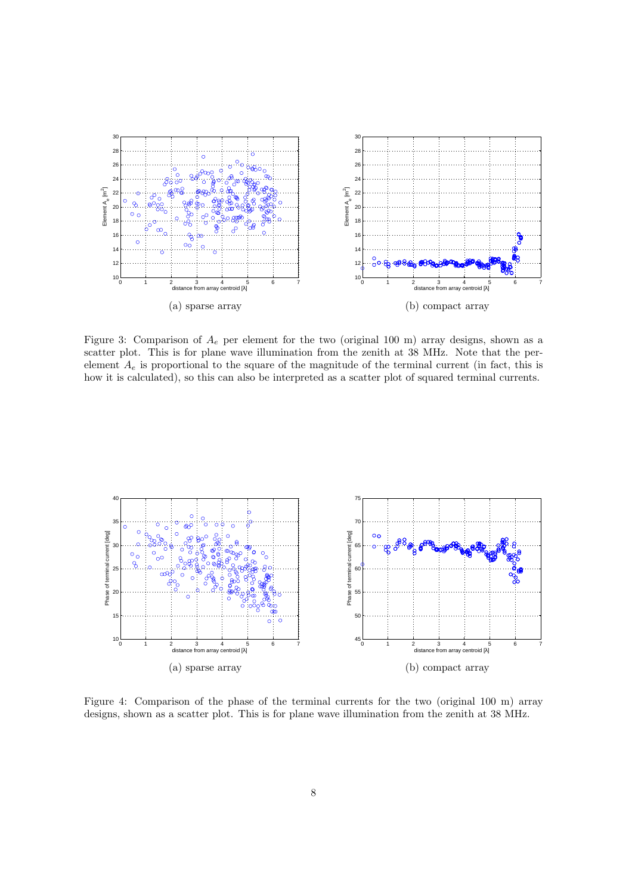

Figure 3: Comparison of  $A_e$  per element for the two (original 100 m) array designs, shown as a scatter plot. This is for plane wave illumination from the zenith at 38 MHz. Note that the perelement  $A_e$  is proportional to the square of the magnitude of the terminal current (in fact, this is how it is calculated), so this can also be interpreted as a scatter plot of squared terminal currents.



Figure 4: Comparison of the phase of the terminal currents for the two (original 100 m) array designs, shown as a scatter plot. This is for plane wave illumination from the zenith at 38 MHz.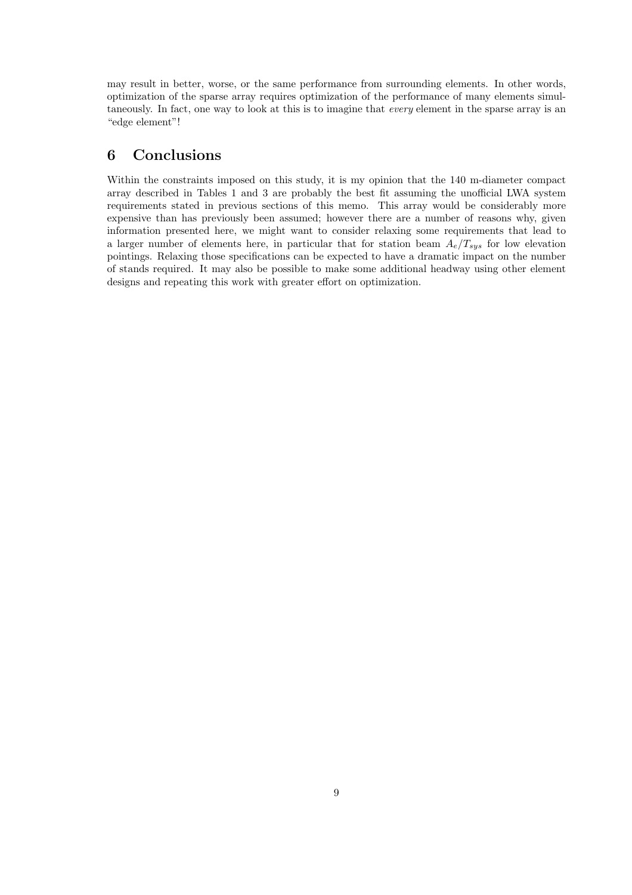may result in better, worse, or the same performance from surrounding elements. In other words, optimization of the sparse array requires optimization of the performance of many elements simultaneously. In fact, one way to look at this is to imagine that every element in the sparse array is an "edge element"!

#### 6 Conclusions

Within the constraints imposed on this study, it is my opinion that the 140 m-diameter compact array described in Tables 1 and 3 are probably the best fit assuming the unofficial LWA system requirements stated in previous sections of this memo. This array would be considerably more expensive than has previously been assumed; however there are a number of reasons why, given information presented here, we might want to consider relaxing some requirements that lead to a larger number of elements here, in particular that for station beam  $A_e/T_{sys}$  for low elevation pointings. Relaxing those specifications can be expected to have a dramatic impact on the number of stands required. It may also be possible to make some additional headway using other element designs and repeating this work with greater effort on optimization.